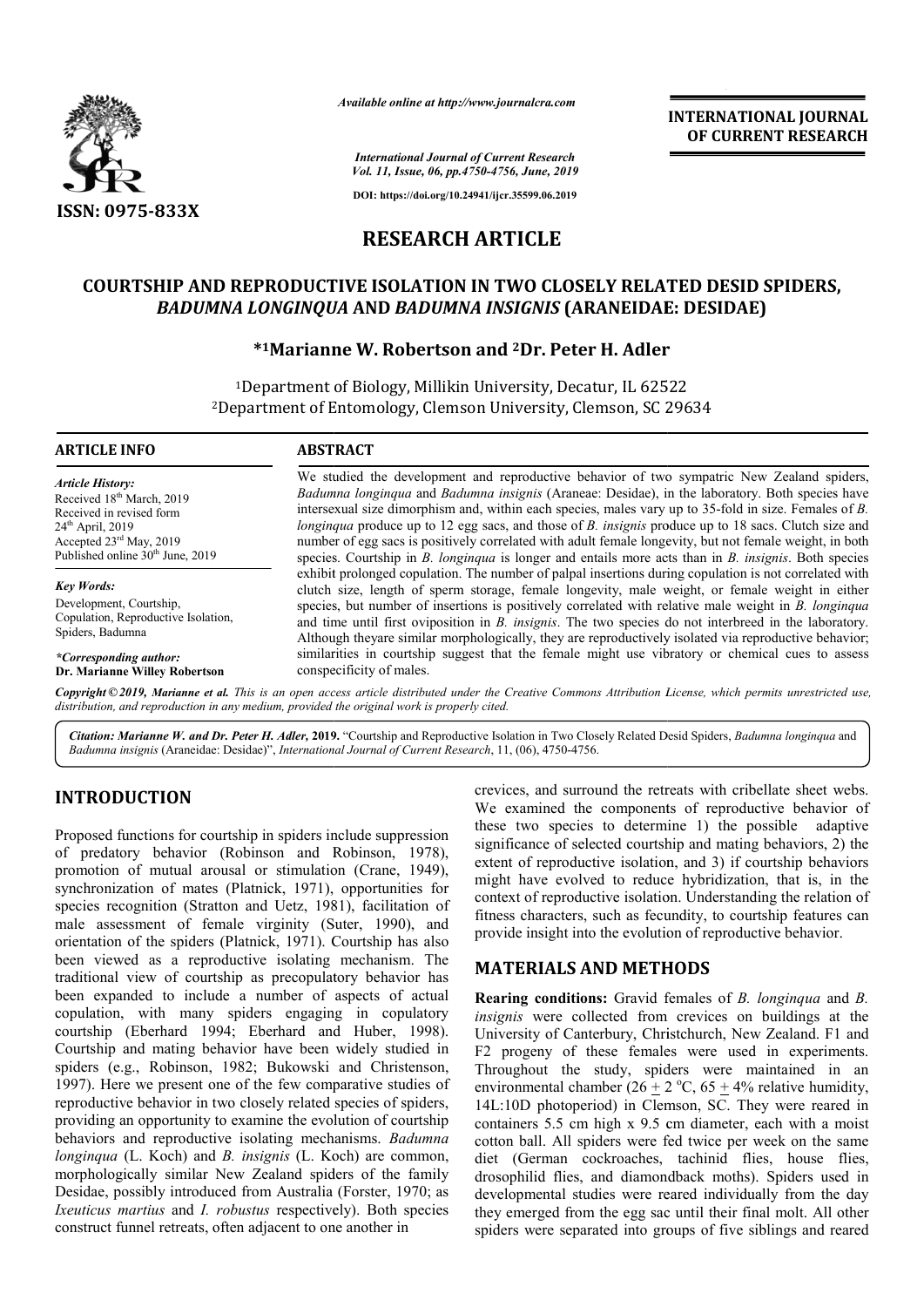

*Available online at http://www.journalcra.com*

**INTERNATIONAL JOURNAL OF CURRENT RESEARCH**

*International Journal of Current Research Vol. 11, Issue, 06, pp.4750-4756, June, 2019*

**DOI: https://doi.org/10.24941/ijcr.35599.06.2019**

# **RESEARCH ARTICLE**

# **COURTSHIP AND REPRODUCTIVE ISOLATION IN TWO CLOSELY RELATED DESID SPIDERS,**  *BADUMNA LONGINQUA* **AND** *BADUMNA INSIGNIS* **(ARANEIDAE: DESIDAE)** PRODUCTIVE ISOLATION IN TWO CLOSELY RELA'<br>*ONGINQUA* AND *BADUMNA INSIGNIS* (ARANEIDAI*'*<br>\*1Marianne W. Robertson and <sup>2</sup>Dr. Peter H. Adler

1Department of Biology, Millikin University, Decatur, IL Department 62522 <sup>2</sup>Department of Entomology, Clemson University, Clemson, SC 29634

#### **ARTICLE INFO ABSTRACT**

*Article History:* Received 18<sup>th</sup> March, 2019 Received in revised form 24<sup>th</sup> April, 2019 Accepted 23rd May, 2019 Published online  $30<sup>th</sup>$  June,  $2019$ 

*Key Words:* Development, Courtship, Copulation, Reproductive Isolation, Spiders, Badumna

*\*Corresponding author:*  **Dr. Marianne Willey Robertson**

We studied the development and reproductive behavior of two sympatric New Zealand spiders, We studied the development and reproductive behavior of two sympatric New Zealand spiders, *Badumna longinqua* and *Badumna insignis* (Araneae: Desidae), in the laboratory. Both species have intersexual size dimorphism and, within each species, males vary up to 35-fold in size. Females of *B*. *longinqua* produce up to 12 egg sacs, and those of *B. insignis* produce up to 18 sacs. Clutch size and number of egg sacs is positively correlated with adult female longevity, but not female weight, in both species. Courtship in *B. longinqua* is longer and entails more acts than in *B. insignis*. Both species exhibit prolonged copulation. The number of palpal insertions during copulation is not correlated with clutch size, length of sperm storage, female longevity, male weight, or female weight in either species, but number of insertions is positively correlated with relative male weight in *B. longinqua* and time until first oviposition in *B. insignis*. The two species do not interbreed in the laboratory. Although theyare similar m morphologically, they are reproductively isolated via reproductive behavior; similarities in courtship suggest that the female might use vibratory or chemical cues to assess conspecificity of males. and time until first oviposition in *B. insignis*. The two species do not interbreed in the labor Although theyare similar morphologically, they are reproductively isolated via reproductive be similarities in courtship su

Copyright © 2019, Marianne et al. This is an open access article distributed under the Creative Commons Attribution License, which permits unrestricted use, *distribution, and reproduction in any medium, provided the original work is properly cited.*

Citation: Marianne W. and Dr. Peter H. Adler, 2019. "Courtship and Reproductive Isolation in Two Closely Related Desid Spiders, Badumna longinqua and *Badumna insignis* (Araneidae: Desidae)", *International Journal of Current Research* , 11, (06), 4750-4756.

# **INTRODUCTION**

Proposed functions for courtship in spiders include suppression of predatory behavior (Robinson and Robinson, 1978), promotion of mutual arousal or stimulation (Crane, 1949), synchronization of mates (Platnick, 1971), opportunities for species recognition (Stratton and Uetz, 1981), facilitation of male assessment of female virginity (Suter, 1990), and orientation of the spiders (Platnick, 1971). Courtship has also been viewed as a reproductive isolating mechanism. The traditional view of courtship as precopulatory behavior has been expanded to include a number of aspects of actual copulation, with many spiders engaging in copulatory courtship (Eberhard 1994; Eberhard and Huber, 1998). Courtship and mating behavior have been widely studied in spiders (e.g., Robinson, 1982; Bukowski and Christenson, 1997). Here we present one of the few comparative studies of reproductive behavior in two closely related species of spiders, Courtship and mating behavior have been widely studied in spiders (e.g., Robinson, 1982; Bukowski and Christenson, 1997). Here we present one of the few comparative studies of reproductive behavior in two closely related s behaviors and reproductive isolating mechanisms. *Badumna longinqua* (L. Koch) and *B. insignis* (L. Koch) are common, morphologically similar New Zealand spiders of the family Desidae, possibly introduced from Australia (Forster, 1970; as *Ixeuticus martius* and *I. robustus* respectively). Both species construct funnel retreats, often adjacent to one another in Platnick, 1971), opportunities for<br>n and Uetz, 1981), facilitation of<br>lle virginity (Suter, 1990), and<br><sup>9</sup>latnick, 1971). Courtship has also<br>uctive isolating mechanism. The crevices, and surround the retreats with cribellate sheet webs. crevices, and surround the retreats with cribellate sheet webs.<br>We examined the components of reproductive behavior of these two species to determine 1) the possible adaptive significance of selected courtship and mating behaviors, 2) the extent of reproductive isolation, and 3) if courtship behaviors might have evolved to reduce hybridization, that is, in the context of reproductive isolation. Understanding the relation of fitness characters, such as fecundity, to courtship features can fitness characters, such as fecundity, to courtship features provide insight into the evolution of reproductive behavior. of selected courtship and mating behaviors, 2) the roductive isolation, and 3) if courtship behaviors evolved to reduce hybridization, that is, in the productive isolation. Understanding the relation of

# **MATERIALS AND METHODS METHODS**

**Rearing conditions:** Gravid females of *B. longinqua* and *B.*  insignis were collected from crevices on buildings at the University of Canterbury, Christchurch, New Zealand. F1 and F2 progeny of these females were used in experiments. Throughout the study, spiders were maintained in an environmental chamber  $(26 \pm 2 \degree C, 65 \pm 4\%$  relative humidity, 14L:10D photoperiod) in Clemson, SC. They were reared in containers 5.5 cm high x 9.5 cm diameter, each with a moist cotton ball. All spiders were fed twice per week on the same containers 5.5 cm high x 9.5 cm diameter, each with a moist cotton ball. All spiders were fed twice per week on the same diet (German cockroaches, tachinid flies, house flies, drosophilid flies, and diamondback moths). Spiders used in developmental studies were reared individually from the day developmental studies were reared individually from the day they emerged from the egg sac until their final molt. All other spiders were separated into groups of five siblings and reared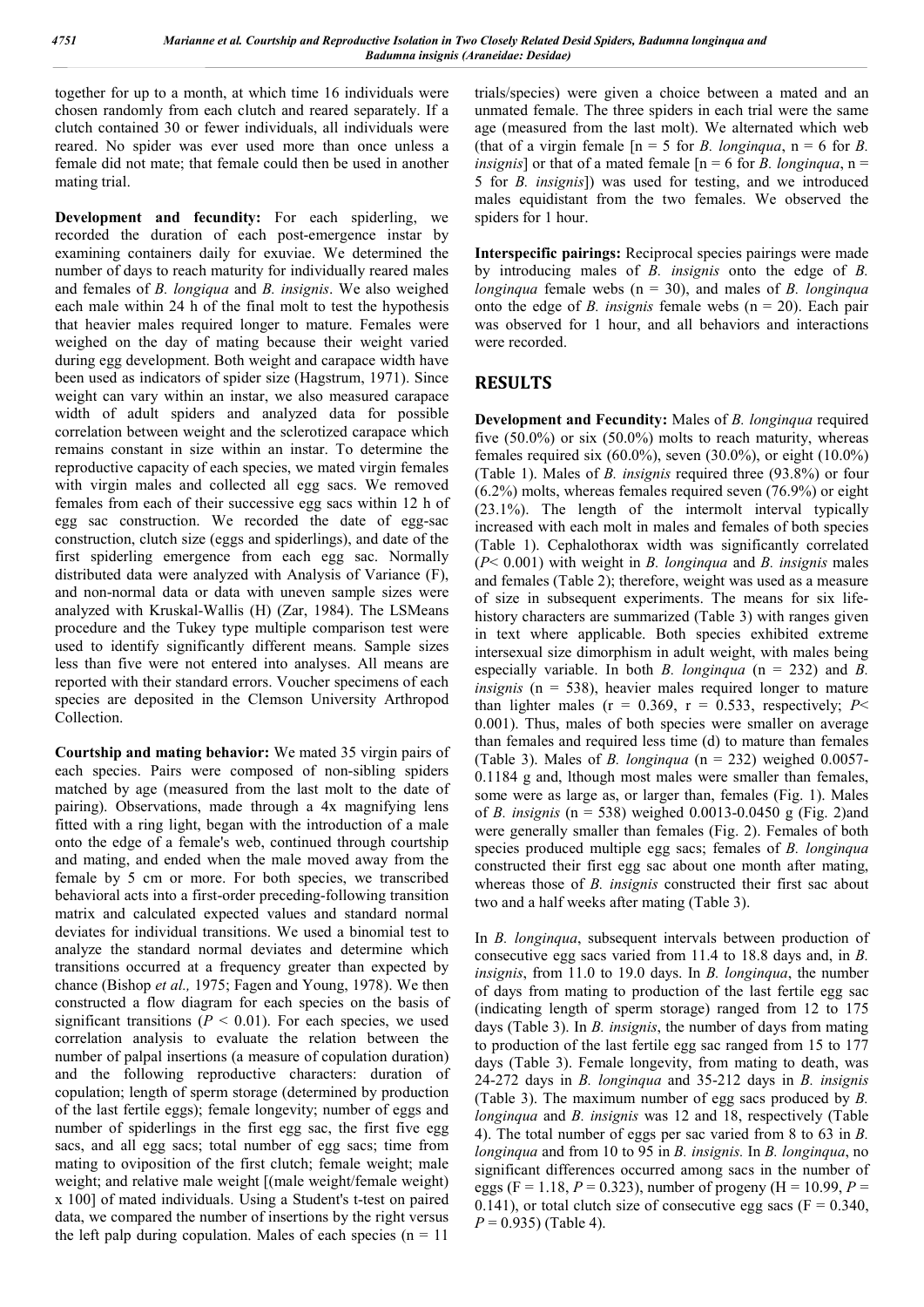together for up to a month, at which time 16 individuals were chosen randomly from each clutch and reared separately. If a clutch contained 30 or fewer individuals, all individuals were reared. No spider was ever used more than once unless a female did not mate; that female could then be used in another mating trial.

**Development and fecundity:** For each spiderling, we recorded the duration of each post-emergence instar by examining containers daily for exuviae. We determined the number of days to reach maturity for individually reared males and females of *B. longiqua* and *B. insignis*. We also weighed each male within 24 h of the final molt to test the hypothesis that heavier males required longer to mature. Females were weighed on the day of mating because their weight varied during egg development. Both weight and carapace width have been used as indicators of spider size (Hagstrum, 1971). Since weight can vary within an instar, we also measured carapace width of adult spiders and analyzed data for possible correlation between weight and the sclerotized carapace which remains constant in size within an instar. To determine the reproductive capacity of each species, we mated virgin females with virgin males and collected all egg sacs. We removed females from each of their successive egg sacs within 12 h of egg sac construction. We recorded the date of egg-sac construction, clutch size (eggs and spiderlings), and date of the first spiderling emergence from each egg sac. Normally distributed data were analyzed with Analysis of Variance (F), and non-normal data or data with uneven sample sizes were analyzed with Kruskal-Wallis (H) (Zar, 1984). The LSMeans procedure and the Tukey type multiple comparison test were used to identify significantly different means. Sample sizes less than five were not entered into analyses. All means are reported with their standard errors. Voucher specimens of each species are deposited in the Clemson University Arthropod Collection.

**Courtship and mating behavior:** We mated 35 virgin pairs of each species. Pairs were composed of non-sibling spiders matched by age (measured from the last molt to the date of pairing). Observations, made through a 4x magnifying lens fitted with a ring light, began with the introduction of a male onto the edge of a female's web, continued through courtship and mating, and ended when the male moved away from the female by 5 cm or more. For both species, we transcribed behavioral acts into a first-order preceding-following transition matrix and calculated expected values and standard normal deviates for individual transitions. We used a binomial test to analyze the standard normal deviates and determine which transitions occurred at a frequency greater than expected by chance (Bishop *et al.,* 1975; Fagen and Young, 1978). We then constructed a flow diagram for each species on the basis of significant transitions ( $P < 0.01$ ). For each species, we used correlation analysis to evaluate the relation between the number of palpal insertions (a measure of copulation duration) and the following reproductive characters: duration of copulation; length of sperm storage (determined by production of the last fertile eggs); female longevity; number of eggs and number of spiderlings in the first egg sac, the first five egg sacs, and all egg sacs; total number of egg sacs; time from mating to oviposition of the first clutch; female weight; male weight; and relative male weight [(male weight/female weight) x 100] of mated individuals. Using a Student's t-test on paired data, we compared the number of insertions by the right versus the left palp during copulation. Males of each species  $(n = 11)$ 

trials/species) were given a choice between a mated and an unmated female. The three spiders in each trial were the same age (measured from the last molt). We alternated which web (that of a virgin female  $[n = 5$  for *B*. *longinqua*,  $n = 6$  for *B*. *insignis*] or that of a mated female  $[n = 6$  for *B. longinqua*,  $n =$ 5 for *B. insignis*]) was used for testing, and we introduced males equidistant from the two females. We observed the spiders for 1 hour.

**Interspecific pairings:** Reciprocal species pairings were made by introducing males of *B. insignis* onto the edge of *B. longinqua* female webs (n = 30), and males of *B. longinqua* onto the edge of *B. insignis* female webs (n = 20). Each pair was observed for 1 hour, and all behaviors and interactions were recorded.

## **RESULTS**

**Development and Fecundity:** Males of *B. longinqua* required five  $(50.0\%)$  or six  $(50.0\%)$  molts to reach maturity, whereas females required six  $(60.0\%)$ , seven  $(30.0\%)$ , or eight  $(10.0\%)$ (Table 1). Males of *B. insignis* required three (93.8%) or four (6.2%) molts, whereas females required seven (76.9%) or eight (23.1%). The length of the intermolt interval typically increased with each molt in males and females of both species (Table 1). Cephalothorax width was significantly correlated (*P*< 0.001) with weight in *B. longinqua* and *B. insignis* males and females (Table 2); therefore, weight was used as a measure of size in subsequent experiments. The means for six lifehistory characters are summarized (Table 3) with ranges given in text where applicable. Both species exhibited extreme intersexual size dimorphism in adult weight, with males being especially variable. In both *B. longinqua* (n = 232) and *B. insignis* (n = 538), heavier males required longer to mature than lighter males ( $r = 0.369$ ,  $r = 0.533$ , respectively; *P*< 0.001). Thus, males of both species were smaller on average than females and required less time (d) to mature than females (Table 3). Males of *B. longinqua* (n = 232) weighed 0.0057- 0.1184 g and, lthough most males were smaller than females, some were as large as, or larger than, females (Fig. 1). Males of *B. insignis* (n = 538) weighed 0.0013-0.0450 g (Fig. 2)and were generally smaller than females (Fig. 2). Females of both species produced multiple egg sacs; females of *B. longinqua* constructed their first egg sac about one month after mating, whereas those of *B. insignis* constructed their first sac about two and a half weeks after mating (Table 3).

In *B. longinqua*, subsequent intervals between production of consecutive egg sacs varied from 11.4 to 18.8 days and, in *B. insignis*, from 11.0 to 19.0 days. In *B. longinqua*, the number of days from mating to production of the last fertile egg sac (indicating length of sperm storage) ranged from 12 to 175 days (Table 3). In *B. insignis*, the number of days from mating to production of the last fertile egg sac ranged from 15 to 177 days (Table 3). Female longevity, from mating to death, was 24-272 days in *B. longinqua* and 35-212 days in *B. insignis* (Table 3). The maximum number of egg sacs produced by *B. longinqua* and *B. insignis* was 12 and 18, respectively (Table 4). The total number of eggs per sac varied from 8 to 63 in *B. longinqua* and from 10 to 95 in *B. insignis.* In *B. longinqua*, no significant differences occurred among sacs in the number of eggs (F = 1.18,  $P = 0.323$ ), number of progeny (H = 10.99,  $P =$ 0.141), or total clutch size of consecutive egg sacs ( $F = 0.340$ ,  $P = 0.935$ ) (Table 4).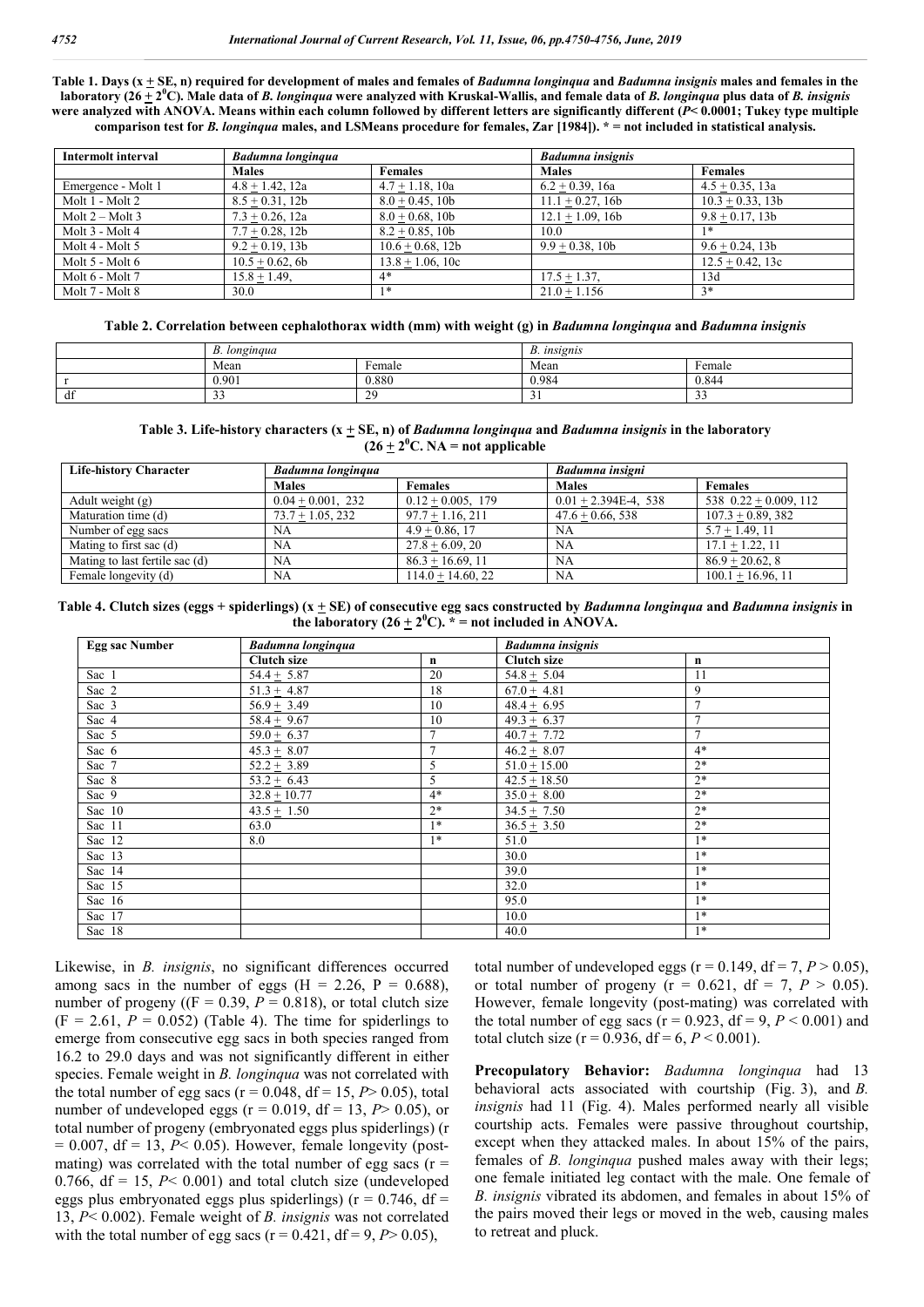**Table 1. Days (x + SE, n) required for development of males and females of** *Badumna longinqua* **and** *Badumna insignis* **males and females in the laboratory (26 + 2<sup>0</sup> C). Male data of** *B. longinqua* **were analyzed with Kruskal-Wallis, and female data of** *B. longinqua* **plus data of** *B. insignis* **were analyzed with ANOVA. Means within each column followed by different letters are significantly different (***P***< 0.0001; Tukey type multiple comparison test for** *B. longinqua* **males, and LSMeans procedure for females, Zar [1984]). \* = not included in statistical analysis.**

| Intermolt interval | Badumna longinqua  |                     | <b>Badumna</b> insignis |                     |
|--------------------|--------------------|---------------------|-------------------------|---------------------|
|                    | <b>Males</b>       | <b>Females</b>      | <b>Males</b>            | <b>Females</b>      |
| Emergence - Molt 1 | $4.8 + 1.42$ , 12a | $4.7 + 1.18$ , 10a  | $6.2 + 0.39$ , 16a      | $4.5 + 0.35$ , 13a  |
| Molt 1 - Molt 2    | $8.5 + 0.31$ , 12b | $8.0 + 0.45$ , 10b  | $11.1 + 0.27$ , 16b     | $10.3 + 0.33$ , 13b |
| Molt $2 -$ Molt 3  | $7.3 + 0.26$ , 12a | $8.0 + 0.68$ , 10b  | $12.1 + 1.09$ , 16b     | $9.8 + 0.17$ , 13b  |
| Molt 3 - Molt 4    | $7.7 + 0.28$ , 12b | $8.2 + 0.85$ , 10b  | 10.0                    | 1*                  |
| Molt 4 - Molt 5    | $9.2 + 0.19$ , 13b | $10.6 + 0.68$ , 12b | $9.9 + 0.38$ , 10b      | $9.6 + 0.24$ , 13b  |
| Molt 5 - Molt 6    | $10.5 + 0.62$ , 6b | $13.8 + 1.06$ , 10c |                         | $12.5 + 0.42$ , 13c |
| Molt 6 - Molt 7    | $15.8 + 1.49$ ,    | $4*$                | $17.5 + 1.37$           | 13d                 |
| Molt 7 - Molt 8    | 30.0               | $1*$                | $21.0 + 1.156$          | $3*$                |

**Table 2. Correlation between cephalothorax width (mm) with weight (g) in** *Badumna longinqua* **and** *Badumna insignis*

|    | $\boldsymbol{p}$<br>B. longinqua |                | . insignis<br>D.         |                    |
|----|----------------------------------|----------------|--------------------------|--------------------|
|    | Mean                             | Female         | Mean                     | Female             |
|    | 0.901                            | 0.880          | 0.984                    | 0.844              |
| df | $\sim$ $\sim$<br><u>.</u>        | ാറ<br><b>L</b> | $\overline{\phantom{0}}$ | $\sim$<br><u>.</u> |

**Table 3. Life-history characters (x + SE, n) of** *Badumna longinqua* **and** *Badumna insignis* **in the laboratory**   $(26 \pm 2^0 \text{C} \cdot \text{NA} = \text{not applicable}$ 

| <b>Life-history Character</b>  | <b>Badumna longinqua</b> |                      | Badumna insigni         |                          |
|--------------------------------|--------------------------|----------------------|-------------------------|--------------------------|
|                                | <b>Males</b>             | <b>Females</b>       | <b>Males</b>            | <b>Females</b>           |
| Adult weight $(g)$             | $0.04 + 0.001$ , 232     | $0.12 + 0.005$ , 179 | $0.01 + 2.394E-4$ , 538 | 538 $0.22 + 0.009$ , 112 |
| Maturation time (d)            | $73.7 + 1.05$ , 232      | $97.7 + 1.16, 211$   | $47.6 + 0.66, 538$      | $107.3 + 0.89, 382$      |
| Number of egg sacs             | NA                       | $4.9 + 0.86$ , 17    | <b>NA</b>               | $5.7 + 1.49$ , 11        |
| Mating to first sac (d)        | NA                       | $27.8 + 6.09$ , 20   | <b>NA</b>               | $17.1 + 1.22$ , 11       |
| Mating to last fertile sac (d) | <b>NA</b>                | $86.3 + 16.69$ , 11  | <b>NA</b>               | $86.9 + 20.62, 8$        |
| Female longevity (d)           | <b>NA</b>                | $114.0 + 14.60, 22$  | NA                      | $100.1 + 16.96$ , 11     |

**Table 4. Clutch sizes (eggs + spiderlings) (x + SE) of consecutive egg sacs constructed by** *Badumna longinqua* **and** *Badumna insignis* **in the laboratory (26**  $\pm$  **2<sup>0</sup>C).**  $*$  **= not included in ANOVA.** 

| <b>Egg sac Number</b> | <b>Badumna</b> longinqua |             | <b>Badumna</b> insignis |                |
|-----------------------|--------------------------|-------------|-------------------------|----------------|
|                       | <b>Clutch size</b>       | $\mathbf n$ | <b>Clutch size</b>      | n              |
| Sac 1                 | $54.4 + 5.87$            | 20          | $54.8 + 5.04$           | 11             |
| Sac 2                 | $51.3 + 4.87$            | 18          | $67.0 + 4.81$           | 9              |
| Sac 3                 | $56.9 + 3.49$            | 10          | $48.4 + 6.95$           | $\overline{7}$ |
| Sac 4                 | $58.4 + 9.67$            | 10          | $49.3 + 6.37$           |                |
| Sac 5                 | $59.0 + 6.37$            | 7           | $40.7 + 7.72$           | $\overline{7}$ |
| Sac 6                 | $45.3 + 8.07$            | 7           | $46.2 \pm 8.07$         | $4*$           |
| Sac 7                 | $52.2 + 3.89$            | 5           | $51.0 + 15.00$          | $2*$           |
| Sac 8                 | $53.2 + 6.43$            | 5           | $42.5 + 18.50$          | $2*$           |
| Sac 9                 | $32.8 + 10.77$           | $4*$        | $35.0 + 8.00$           | $2*$           |
| Sac 10                | $43.5 + 1.50$            | $2*$        | $34.5 + 7.50$           | $2*$           |
| Sac 11                | 63.0                     | $1*$        | $36.5 + 3.50$           | $2*$           |
| Sac 12                | 8.0                      | $1*$        | 51.0                    | $1*$           |
| Sac 13                |                          |             | 30.0                    | $1*$           |
| Sac 14                |                          |             | 39.0                    | $1*$           |
| Sac 15                |                          |             | 32.0                    | $1*$           |
| Sac 16                |                          |             | 95.0                    | $1*$           |
| Sac 17                |                          |             | 10.0                    | $1*$           |
| Sac 18                |                          |             | 40.0                    | $1*$           |

Likewise, in *B. insignis*, no significant differences occurred among sacs in the number of eggs ( $H = 2.26$ ,  $P = 0.688$ ), number of progeny ( $(F = 0.39, P = 0.818)$ ), or total clutch size  $(F = 2.61, P = 0.052)$  (Table 4). The time for spiderlings to emerge from consecutive egg sacs in both species ranged from 16.2 to 29.0 days and was not significantly different in either species. Female weight in *B. longinqua* was not correlated with the total number of egg sacs ( $r = 0.048$ ,  $df = 15$ ,  $P > 0.05$ ), total number of undeveloped eggs ( $r = 0.019$ , df = 13,  $P > 0.05$ ), or total number of progeny (embryonated eggs plus spiderlings) (r  $= 0.007$ , df  $= 13$ ,  $P < 0.05$ ). However, female longevity (postmating) was correlated with the total number of egg sacs ( $r =$ 0.766,  $df = 15$ ,  $P < 0.001$ ) and total clutch size (undeveloped eggs plus embryonated eggs plus spiderlings) ( $r = 0.746$ , df = 13, *P*< 0.002). Female weight of *B. insignis* was not correlated with the total number of egg sacs ( $r = 0.421$ , df = 9,  $P > 0.05$ ),

total number of undeveloped eggs ( $r = 0.149$ , df = 7,  $P > 0.05$ ), or total number of progeny ( $r = 0.621$ ,  $df = 7$ ,  $P > 0.05$ ). However, female longevity (post-mating) was correlated with the total number of egg sacs ( $r = 0.923$ , df = 9,  $P < 0.001$ ) and total clutch size ( $r = 0.936$ , d $f = 6$ ,  $P < 0.001$ ).

**Precopulatory Behavior:** *Badumna longinqua* had 13 behavioral acts associated with courtship (Fig. 3), and *B. insignis* had 11 (Fig. 4). Males performed nearly all visible courtship acts. Females were passive throughout courtship, except when they attacked males. In about 15% of the pairs, females of *B. longinqua* pushed males away with their legs; one female initiated leg contact with the male. One female of *B. insignis* vibrated its abdomen, and females in about 15% of the pairs moved their legs or moved in the web, causing males to retreat and pluck.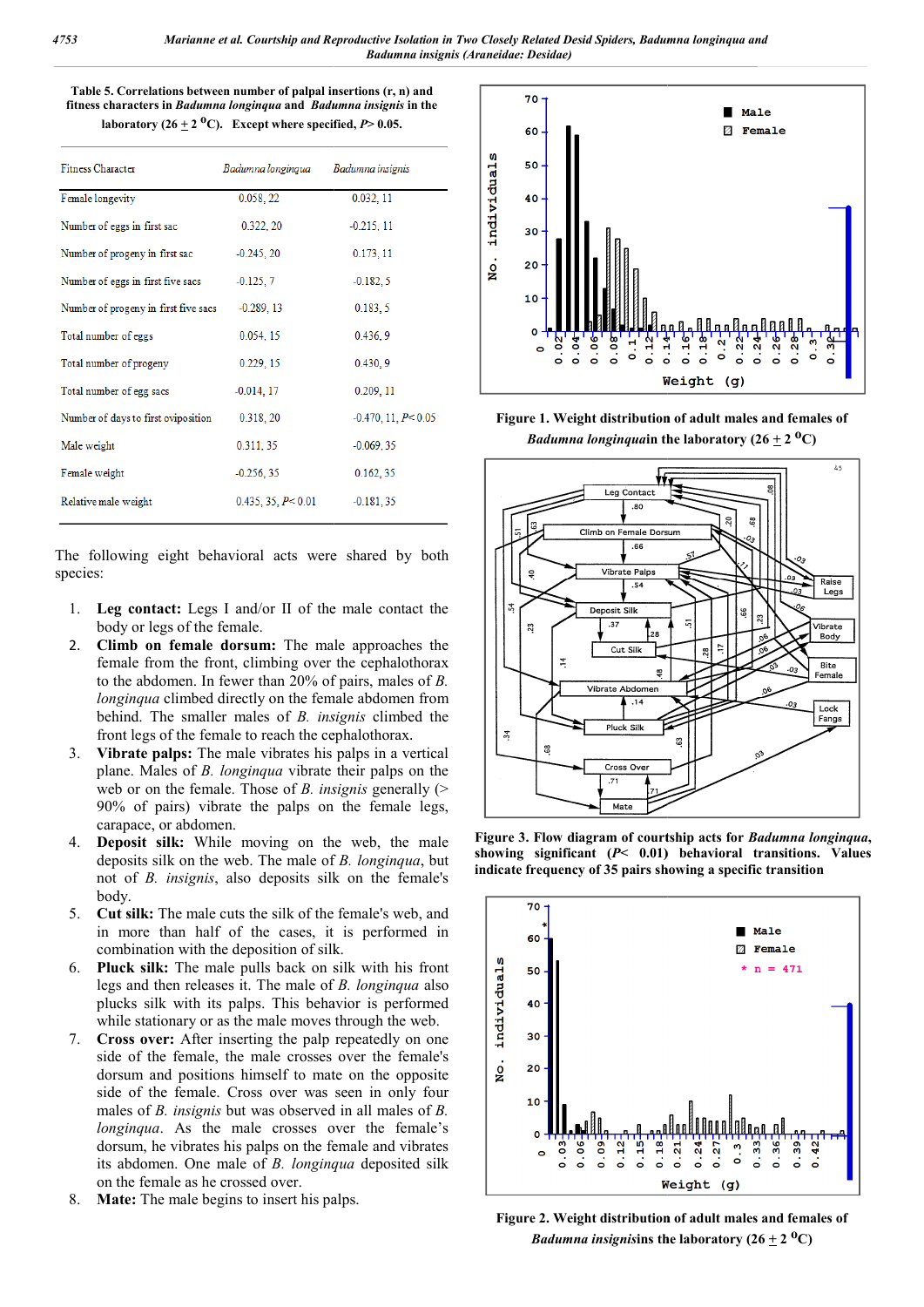Table 5. Correlations between number of palpal insertions (r, n) and **fitness characters in** *Badumna longinqua* **and** *Badumna insignis* **in the**  laboratory  $(26 \pm 2 \text{ }^0\text{C})$ . Except where specified,  $P$   $> 0.05$ .

| <b>Fitness Character</b>             | Badumna longinqua   | Badumna insignis          |
|--------------------------------------|---------------------|---------------------------|
| Female longevity                     | 0.058, 22           | 0.032, 11                 |
| Number of eggs in first sac          | 0.322, 20           | $-0.215, 11$              |
| Number of progeny in first sac       | $-0.245, 20$        | 0.173, 11                 |
| Number of eggs in first five sacs    | $-0.125, 7$         | $-0.182, 5$               |
| Number of progeny in first five sacs | $-0.289, 13$        | 0.183, 5                  |
| Total number of eggs                 | 0.054, 15           | 0.436.9                   |
| Total number of progeny              | 0.229, 15           | 0.430, 9                  |
| Total number of egg sacs             | $-0.014, 17$        | 0.209, 11                 |
| Number of days to first oviposition  | 0.318, 20           | $-0.470$ , 11, $P < 0.05$ |
| Male weight                          | 0.311, 35           | $-0.069, 35$              |
| Female weight                        | $-0.256, 35$        | 0.162, 35                 |
| Relative male weight                 | 0.435, 35, P < 0.01 | $-0.181, 35$              |

The following eight behavioral acts were shared by both species:

- 1. **Leg contact:** Legs I and/or II of the male contact the body or legs of the female.
- 2. **Climb on female dorsum:** The male approaches the female from the front, climbing over the cephalothorax to the abdomen. In fewer than 20% of pairs, males of *B.*  longinqua climbed directly on the female abdomen from behind. The smaller males of *B. insignis* climbed the front legs of the female to reach the cephalothorax .
- 3. **Vibrate palps:** The male vibrates his palps in a vertical plane. Males of *B. longinqua* vibrate their palps on the web or on the female. Those of *B. insignis* generally (> 90% of pairs) vibrate the palps on the female legs, carapace, or abdomen.
- 4. **Deposit silk:** While moving on the web, the male deposits silk on the web. The male of *B. longinqua*, but not of *B. insignis*, also deposits silk on the female's body.
- 5. **Cut silk:** The male cuts the silk of the female's web, and in more than half of the cases, it is performed in combination with the deposition of silk.
- 6. **Pluck silk:** The male pulls back on silk with his front legs and then releases it. The male of *B. longinqua* also plucks silk with its palps. This behavior is performed while stationary or as the male moves through the web.
- 7. **Cross over:** After inserting the palp repeatedly on one side of the female, the male crosses over the female's dorsum and positions himself to mate on the opposite side of the female. Cross over was seen in only four males of *B. insignis* but was observed in all males of *B. longinqua*. As the male crosses over the female's dorsum, he vibrates his palps on the female and vibrates its abdomen. One male of *B. longinqua* deposited silk on the female as he crossed over.
- 8. **Mate:** The male begins to insert his palps.



Figure 1. Weight distribution of adult males and females of *Badumna longinqua* in the laboratory  $(26 \pm 2 \text{ }^0\text{C})$ 



**Figure 3. Flow diagram of courtship acts for**  *Badumna longinqua***,**  showing significant  $(P< 0.01)$  behavioral transitions. **indicate frequency of 35 pairs showing a specific transition**



**Figure 2. Weight distribution of adult males and females of**  *Badumna insignisins the laboratory*  $(26 \pm 2 \text{ }^0\text{C})$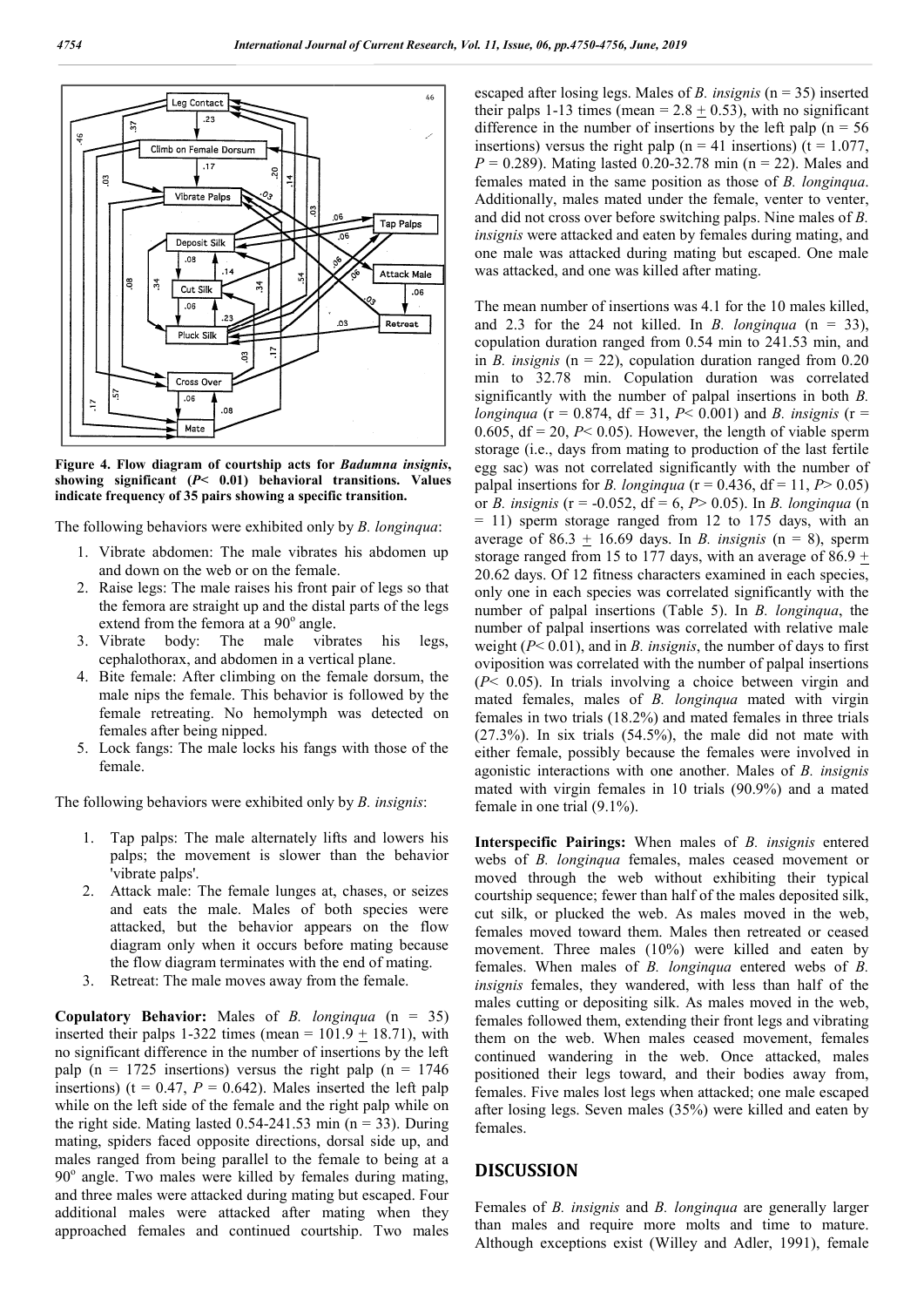

**Figure 4. Flow diagram of courtship acts for**  *Badumna insignis***, showing significant (***P***< 0.01) behavioral transitions. Values indicate frequency of 35 pairs showing a specific transition.**

The following behaviors were exhibited only by *B. longinqua*:

- 1. Vibrate abdomen: The male vibrates his abdomen up and down on the web or on the female.
- 2. Raise legs: The male raises his front pair of legs so that the femora are straight up and the distal parts of the legs extend from the femora at a  $90^\circ$  angle.
- 3. Vibrate body: The male vibrates his legs, cephalothorax, and abdomen in a vertical plane.
- 4. Bite female: After climbing on the female dorsum, the male nips the female. This behavior is followed by the female retreating. No hemolymph was detected on females after being nipped.
- 5. Lock fangs: The male locks his fangs with those of the female.

The following behaviors were exhibited only by *B. insignis*:

- 1. Tap palps: The male alternately lifts and lowers his palps; the movement is slower than the behavior 'vibrate palps'.
- 2. Attack male: The female lunges at, chases, or seizes and eats the male. Males of both species were attacked, but the behavior appears on the flow diagram only when it occurs before mating because the flow diagram terminates with the end of mating.
- 3. Retreat: The male moves away from the female.

**Copulatory Behavior:** Males of *B. longinqua* (n = 35) inserted their palps 1-322 times (mean =  $101.9 \pm 18.71$ ), with no significant difference in the number of insertions by the left palp (n = 1725 insertions) versus the right palp (n = 1746 insertions) ( $t = 0.47$ ,  $P = 0.642$ ). Males inserted the left palp while on the left side of the female and the right palp while on the right side. Mating lasted  $0.54$ -241.53 min (n = 33). During mating, spiders faced opposite directions, dorsal side up, and males ranged from being parallel to the female to being at a 90° angle. Two males were killed by females during mating, and three males were attacked during mating but escaped. Four additional males were attacked after mating when they approached females and continued courtship. Two males

escaped after losing legs. Males of *B. insignis* ( $n = 35$ ) inserted their palps 1-13 times (mean =  $2.8 \pm 0.53$ ), with no significant difference in the number of insertions by the left palp ( $n = 56$ ) insertions) versus the right palp ( $n = 41$  insertions) ( $t = 1.077$ ,  $P = 0.289$ . Mating lasted 0.20-32.78 min (n = 22). Males and females mated in the same position as those of *B. longinqua*. Additionally, males mated under the female, venter to venter, and did not cross over before switching palps. Nine males of *B. insignis* were attacked and eaten by females during mating, and insignis were attacked and eaten by females during mating, and one male was attacked during mating but escaped. One male was attacked, and one was killed after mating. in the number of insertions by the left palp (n = 56 versus the right palp (n = 41 insertions) (t = 1.077, Mating lasted 0.20-32.78 min (n = 22). Males and

The mean number of insertions was 4.1 for the 10 males killed, was attacked, and one was killed after mating.<br>The mean number of insertions was 4.1 for the 10 males killed,<br>and 2.3 for the 24 not killed. In *B. longinqua* (n = 33), copulation duration ranged from 0.54 min to 241.53 min, and in *B. insignis* (n = 22), copulation duration ranged from 0.20 min to 32.78 min. Copulation duration was correlated significantly with the number of palpal insertions in both  $B$ . *longinqua* ( $r = 0.874$ ,  $df = 31$ ,  $P < 0.001$ ) and *B. insignis* ( $r =$ 0.605,  $df = 20$ ,  $P < 0.05$ ). However, the length of viable sperm storage (i.e., days from mating to production of the last fertile 0.605, df = 20,  $P$ < 0.05). However, the length of viable sperm storage (i.e., days from mating to production of the last fertile egg sac) was not correlated significantly with the number of palpal insertions for *B. longinqua* ( $r = 0.436$ , df = 11, *P* > 0.05) or *B. insignis* (r = -0.052, df = 6, *P*> 0.05). In *B. longinqua* (n  $= 11$ ) sperm storage ranged from 12 to 175 days, with an = 11) sperm storage ranged from 12 to 175 days, with an average of  $86.3 \pm 16.69$  days. In *B. insignis* (n = 8), sperm storage ranged from 15 to 177 days, with an average of 86.9  $\pm$ 20.62 days. Of 12 fitness characters examined in each species, only one in each species was correlated significantly with the number of palpal insertions (Table 5). In *B. longinqua*, the number of palpal insertions was correlated with relative male weight  $(P< 0.01)$ , and in *B. insignis*, the number of days to first oviposition was correlated with the number of palpal insertions oviposition (*P*< 0.05). In trials involving a choice between virgin and mated females, males of *B. longinqua* mated with virgin females in two trials (18.2%) and mated females in three trials (27.3%). In six trials (54.5%), the male did not mate with either female, possibly because the females were involved in females in two trials (18.2%) and mated females in three trials (27.3%). In six trials (54.5%), the male did not mate with either female, possibly because the females were involved in agonistic interactions with one anothe mated with virgin females in 10 trials (90.9%) and a mated female in one trial (9.1%). mated with virgin females in 10 trials (90.9%) and a mated female in one trial (9.1%).<br> **Interspecific Pairings:** When males of *B. insignis* entered Fraction ranged from 0.54 min to 241.53 min, and  $(n = 22)$ , copulation duration ranged from 0.20<br>78 min. Copulation duration was correlated with the number of palpal insertions in both *B*. fitness characters examined in each species, species was correlated significantly with the linsertions (Table 5). In *B. longinqua*, the **2019**<br>
es of *B*. *insignis* (n = 35)<br>
es of *B*. *insignis* (n = 35)<br>
= 2.8  $\pm$  0.53), with no si<br>
nestrions by the left palp<br>
lp (n = 41 insertions) (t 0-32.78 min (n = 22). Mosition<br>
deler the framele, venter to<br>
sov

webs of *B. longinqua* females, males ceased movement or moved through the web without exhibiting their typical courtship sequence; fewer than half of the males deposited silk, cut silk, or plucked the web. As males moved in the web, females moved toward them. Males then retreated or ceased movement. Three males  $(10\%)$  were killed and eaten by females. When males of *B. longinqua* entered webs of *B. insignis* females, they wandered, with less than half of the males cutting or depositing silk. As males moved in the web, females followed them, extending their front legs and vibrating them on the web. When males ceased movement, females continued wandering in the web. Once attacked, males positioned their legs toward, and their bodies away from, females. Five males lost legs when attacked; one male escaped after losing legs. Seven males  $(35%)$  were killed and eaten by females. hrough the web without exhibiting their typical sequence; fewer than half of the males deposited silk, or plucked the web. As males moved in the web,

### **DISCUSSION**

Females of *B. insignis* and *B. longinqua* are generally larger than males and require more molts and time to mature. Although exceptions exist (Willey and Adler, 1991), female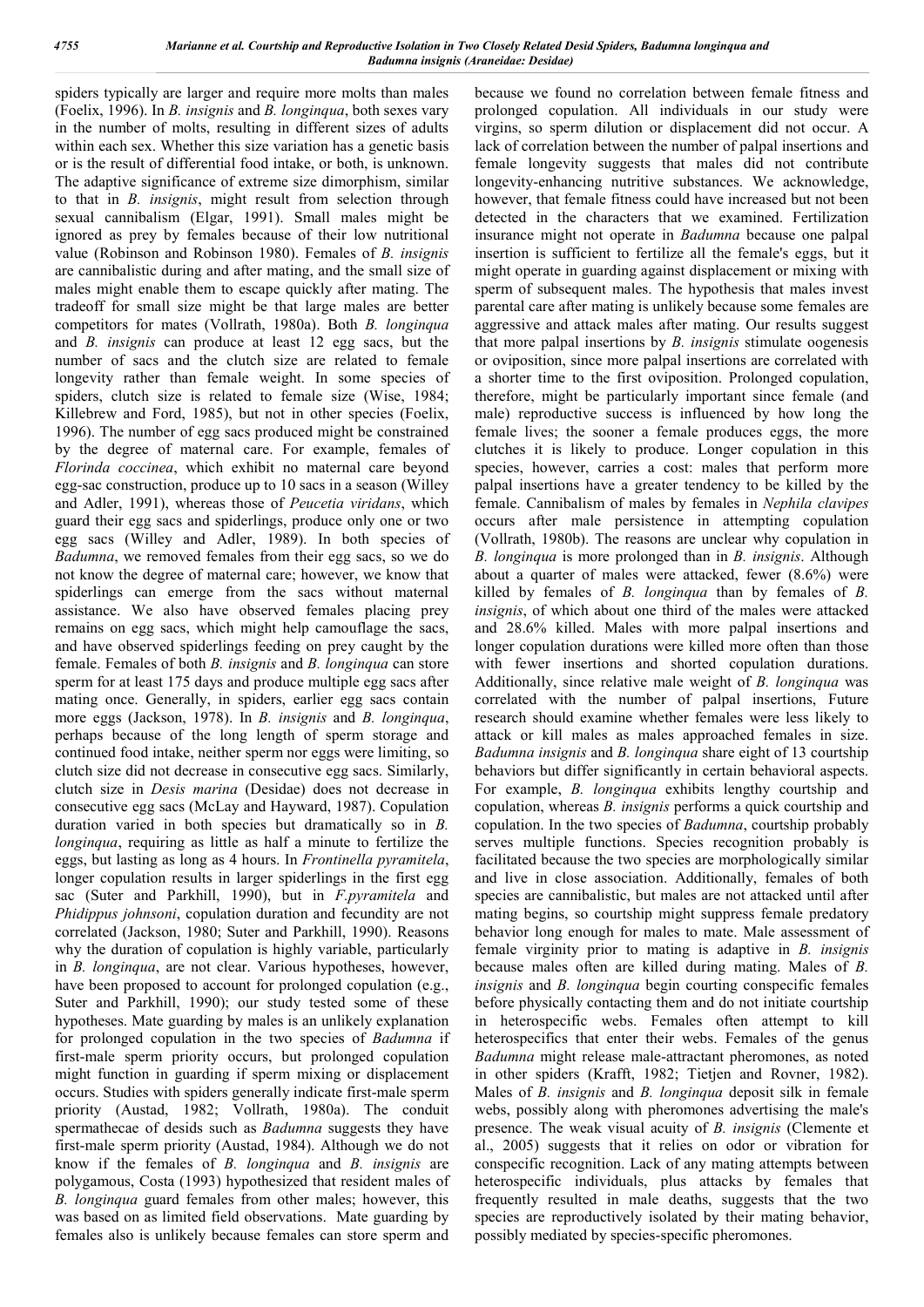spiders typically are larger and require more molts than males (Foelix, 1996). In *B. insignis* and *B. longinqua*, both sexes vary in the number of molts, resulting in different sizes of adults within each sex. Whether this size variation has a genetic basis or is the result of differential food intake, or both, is unknown. The adaptive significance of extreme size dimorphism, similar to that in *B. insignis*, might result from selection through sexual cannibalism (Elgar, 1991). Small males might be ignored as prey by females because of their low nutritional value (Robinson and Robinson 1980). Females of *B. insignis* are cannibalistic during and after mating, and the small size of males might enable them to escape quickly after mating. The tradeoff for small size might be that large males are better competitors for mates (Vollrath, 1980a). Both *B. longinqua* and *B. insignis* can produce at least 12 egg sacs, but the number of sacs and the clutch size are related to female longevity rather than female weight. In some species of spiders, clutch size is related to female size (Wise, 1984; Killebrew and Ford, 1985), but not in other species (Foelix, 1996). The number of egg sacs produced might be constrained by the degree of maternal care. For example, females of *Florinda coccinea*, which exhibit no maternal care beyond egg-sac construction, produce up to 10 sacs in a season (Willey and Adler, 1991), whereas those of *Peucetia viridans*, which guard their egg sacs and spiderlings, produce only one or two egg sacs (Willey and Adler, 1989). In both species of *Badumna*, we removed females from their egg sacs, so we do not know the degree of maternal care; however, we know that spiderlings can emerge from the sacs without maternal assistance. We also have observed females placing prey remains on egg sacs, which might help camouflage the sacs, and have observed spiderlings feeding on prey caught by the female. Females of both *B. insignis* and *B. longinqua* can store sperm for at least 175 days and produce multiple egg sacs after mating once. Generally, in spiders, earlier egg sacs contain more eggs (Jackson, 1978). In *B. insignis* and *B. longinqua*, perhaps because of the long length of sperm storage and continued food intake, neither sperm nor eggs were limiting, so clutch size did not decrease in consecutive egg sacs. Similarly, clutch size in *Desis marina* (Desidae) does not decrease in consecutive egg sacs (McLay and Hayward, 1987). Copulation duration varied in both species but dramatically so in *B. longinqua*, requiring as little as half a minute to fertilize the eggs, but lasting as long as 4 hours. In *Frontinella pyramitela*, longer copulation results in larger spiderlings in the first egg sac (Suter and Parkhill, 1990), but in *F.pyramitela* and *Phidippus johnsoni*, copulation duration and fecundity are not correlated (Jackson, 1980; Suter and Parkhill, 1990). Reasons why the duration of copulation is highly variable, particularly in *B. longinqua*, are not clear. Various hypotheses, however, have been proposed to account for prolonged copulation (e.g., Suter and Parkhill, 1990); our study tested some of these hypotheses. Mate guarding by males is an unlikely explanation for prolonged copulation in the two species of *Badumna* if first-male sperm priority occurs, but prolonged copulation might function in guarding if sperm mixing or displacement occurs. Studies with spiders generally indicate first-male sperm priority (Austad, 1982; Vollrath, 1980a). The conduit spermathecae of desids such as *Badumna* suggests they have first-male sperm priority (Austad, 1984). Although we do not know if the females of *B. longinqua* and *B. insignis* are polygamous, Costa (1993) hypothesized that resident males of *B. longinqua* guard females from other males; however, this was based on as limited field observations. Mate guarding by females also is unlikely because females can store sperm and

because we found no correlation between female fitness and prolonged copulation. All individuals in our study were virgins, so sperm dilution or displacement did not occur. A lack of correlation between the number of palpal insertions and female longevity suggests that males did not contribute longevity-enhancing nutritive substances. We acknowledge, however, that female fitness could have increased but not been detected in the characters that we examined. Fertilization insurance might not operate in *Badumna* because one palpal insertion is sufficient to fertilize all the female's eggs, but it might operate in guarding against displacement or mixing with sperm of subsequent males. The hypothesis that males invest parental care after mating is unlikely because some females are aggressive and attack males after mating. Our results suggest that more palpal insertions by *B. insignis* stimulate oogenesis or oviposition, since more palpal insertions are correlated with a shorter time to the first oviposition. Prolonged copulation, therefore, might be particularly important since female (and male) reproductive success is influenced by how long the female lives; the sooner a female produces eggs, the more clutches it is likely to produce. Longer copulation in this species, however, carries a cost: males that perform more palpal insertions have a greater tendency to be killed by the female. Cannibalism of males by females in *Nephila clavipes* occurs after male persistence in attempting copulation (Vollrath, 1980b). The reasons are unclear why copulation in *B. longinqua* is more prolonged than in *B. insignis*. Although about a quarter of males were attacked, fewer (8.6%) were killed by females of *B. longinqua* than by females of *B. insignis*, of which about one third of the males were attacked and 28.6% killed. Males with more palpal insertions and longer copulation durations were killed more often than those with fewer insertions and shorted copulation durations. Additionally, since relative male weight of *B. longinqua* was correlated with the number of palpal insertions, Future research should examine whether females were less likely to attack or kill males as males approached females in size. *Badumna insignis* and *B. longinqua* share eight of 13 courtship behaviors but differ significantly in certain behavioral aspects. For example, *B. longinqua* exhibits lengthy courtship and copulation, whereas *B. insignis* performs a quick courtship and copulation. In the two species of *Badumna*, courtship probably serves multiple functions. Species recognition probably is facilitated because the two species are morphologically similar and live in close association. Additionally, females of both species are cannibalistic, but males are not attacked until after mating begins, so courtship might suppress female predatory behavior long enough for males to mate. Male assessment of female virginity prior to mating is adaptive in *B. insignis* because males often are killed during mating. Males of *B. insignis* and *B. longinqua* begin courting conspecific females before physically contacting them and do not initiate courtship in heterospecific webs. Females often attempt to kill heterospecifics that enter their webs. Females of the genus *Badumna* might release male-attractant pheromones, as noted in other spiders (Krafft, 1982; Tietjen and Rovner, 1982). Males of *B. insignis* and *B. longinqua* deposit silk in female webs, possibly along with pheromones advertising the male's presence. The weak visual acuity of *B. insignis* (Clemente et al., 2005) suggests that it relies on odor or vibration for conspecific recognition. Lack of any mating attempts between heterospecific individuals, plus attacks by females that frequently resulted in male deaths, suggests that the two species are reproductively isolated by their mating behavior, possibly mediated by species-specific pheromones.